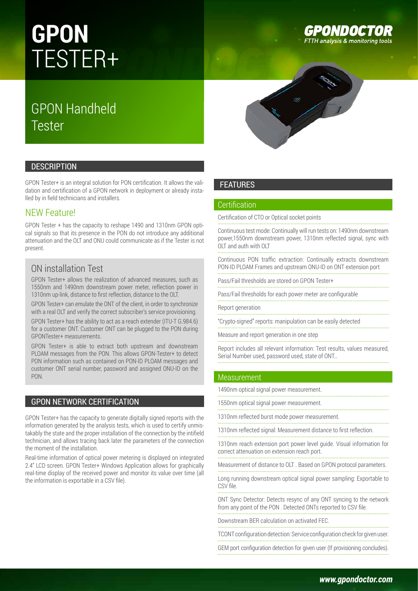# **GPON** TESTER+

# GPON Handheld Tester



GPON Tester+ is an integral solution for PON certification. It allows the validation and certification of a GPON network in deployment or already installed by in field technicians and installers.

# NEW Feature!

GPON Tester + has the capacity to reshape 1490 and 1310nm GPON optical signals so that its presence in the PON do not introduce any additional attenuation and the OLT and ONU could communicate as if the Tester is not present.

# ON installation Test

GPON Tester+ allows the realization of advanced measures, such as 1550nm and 1490nm downstream power meter, reflection power in 1310nm up-link, distance to first reflection, distance to the OLT.

GPON Tester+ can emulate the ONT of the client, in order to synchronize with a real OLT and verify the correct subscriber's service provisioning.

GPON Tester+ has the ability to act as a reach extender (ITU-T G.984.6) for a customer ONT. Customer ONT can be plugged to the PON during GPONTester+ measurements.

GPON Tester+ is able to extract both upstream and downstream PLOAM messages from the PON. This allows GPON-Tester+ to detect PON information such as contained on PON-ID PLOAM messages and customer ONT serial number, password and assigned ONU-ID on the PON.

# GPON NETWORK CERTIFICATION

GPON Tester+ has the capacity to generate digitally signed reports with the information generated by the analysis tests, which is used to certify unmistakably the state and the proper installation of the connection by the intifield technician, and allows tracing back later the parameters of the connection the moment of the installation.

Real-time information of optical power metering is displayed on integrated 2.4'' LCD screen. GPON Tester+ Windows Application allows for graphically real-time display of the received power and monitor its value over time (all the information is exportable in a CSV file).



# FEATURES

#### Certification

Certification of CTO or Optical socket points

Continuous test mode: Continually will run tests on: 1490nm downstream power,1550nm downstream power, 1310nm reflected signal, sync with OLT and auth with OLT

Continuous PON traffic extraction: Continually extracts downstream PON-ID PLOAM Frames and upstream ONU-ID on ONT extension port

Pass/Fail thresholds are stored on GPON Tester+

Pass/Fail thresholds for each power meter are configurable

Report generation

"Crypto-signed" reports: manipulation can be easily detected

Measure and report generation in one step

Report includes all relevant information: Test results, values measured, Serial Number used, password used, state of ONT…

### Measurement

1490nm optical signal power measurement.

1550nm optical signal power measurement.

1310nm reflected burst mode power measurement.

1310nm reflected signal: Measurement distance to first reflection. 

1310nm reach extension port power level guide. Visual information for correct attenuation on extension reach port.

Measurement of distance to OLT . Based on GPON protocol parameters.

Long running downstream optical signal power sampling: Exportable to CSV file.

ONT Sync Detector: Detects resync of any ONT syncing to the network from any point of the PON . Detected ONTs reported to CSV file.

Downstream BER calculation on activated FEC.

TCONT configuration detection: Service configuration check for given user. GEM port configuration detection for given user (If provisioning concludes).